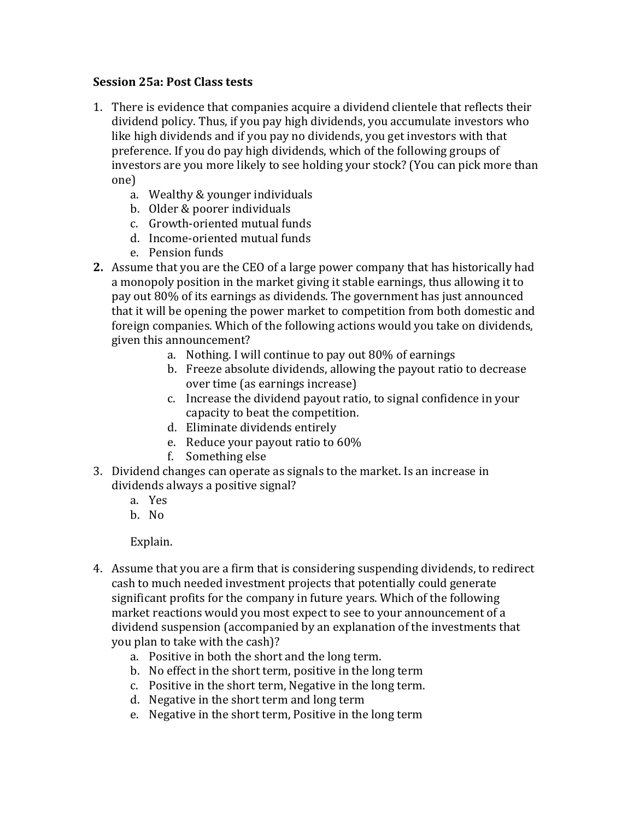## **Session 25a: Post Class tests**

- 1. There is evidence that companies acquire a dividend clientele that reflects their dividend policy. Thus, if you pay high dividends, you accumulate investors who like high dividends and if you pay no dividends, you get investors with that preference. If you do pay high dividends, which of the following groups of investors are you more likely to see holding your stock? (You can pick more than one)
	- a. Wealthy & younger individuals
	- b. Older & poorer individuals
	- c. Growth-oriented mutual funds
	- d. Income-oriented mutual funds
	- e. Pension funds
- **2.** Assume that you are the CEO of a large power company that has historically had a monopoly position in the market giving it stable earnings, thus allowing it to pay out 80% of its earnings as dividends. The government has just announced that it will be opening the power market to competition from both domestic and foreign companies. Which of the following actions would you take on dividends, given this announcement?
	- a. Nothing. I will continue to pay out 80% of earnings
	- b. Freeze absolute dividends, allowing the payout ratio to decrease over time (as earnings increase)
	- c. Increase the dividend payout ratio, to signal confidence in your capacity to beat the competition.
	- d. Eliminate dividends entirely
	- e. Reduce your payout ratio to  $60\%$
	- f. Something else
- 3. Dividend changes can operate as signals to the market. Is an increase in dividends always a positive signal?
	- a. Yes
	- b. No

Explain.

- 4. Assume that you are a firm that is considering suspending dividends, to redirect cash to much needed investment projects that potentially could generate significant profits for the company in future years. Which of the following market reactions would you most expect to see to your announcement of a dividend suspension (accompanied by an explanation of the investments that you plan to take with the cash)?
	- a. Positive in both the short and the long term.
	- b. No effect in the short term, positive in the long term
	- c. Positive in the short term, Negative in the long term.
	- d. Negative in the short term and long term
	- e. Negative in the short term, Positive in the long term